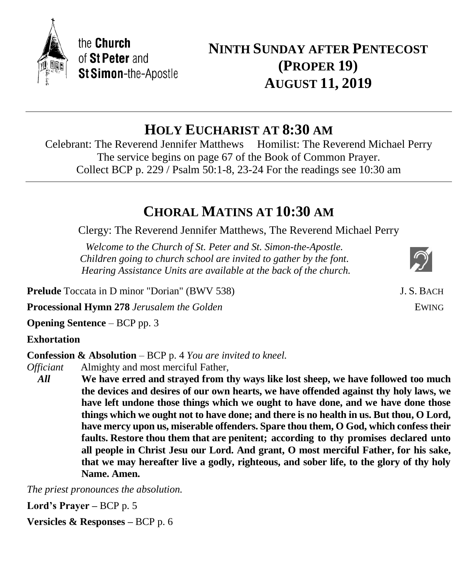

# **HOLY EUCHARIST AT 8:30 AM**

Celebrant: The Reverend Jennifer Matthews Homilist: The Reverend Michael Perry The service begins on page 67 of the Book of Common Prayer. Collect BCP p. 229 / Psalm 50:1-8, 23-24 For the readings see 10:30 am

# **CHORAL MATINS AT 10:30 AM**

Clergy: The Reverend Jennifer Matthews, The Reverend Michael Perry

*Welcome to the Church of St. Peter and St. Simon-the-Apostle. Children going to church school are invited to gather by the font. Hearing Assistance Units are available at the back of the church.*

**Prelude** Toccata in D minor "Dorian" (BWV 538)J. S. BACH

**Processional Hymn 278** *Jerusalem the Golden* EWING

**Opening Sentence** – BCP pp. 3

**Exhortation**

**Confession & Absolution** – BCP p. 4 *You are invited to kneel.*

*Officiant* Almighty and most merciful Father,

*All* **We have erred and strayed from thy ways like lost sheep, we have followed too much the devices and desires of our own hearts, we have offended against thy holy laws, we have left undone those things which we ought to have done, and we have done those things which we ought not to have done; and there is no health in us. But thou, O Lord, have mercy upon us, miserable offenders. Spare thou them, O God, which confess their faults. Restore thou them that are penitent; according to thy promises declared unto all people in Christ Jesu our Lord. And grant, O most merciful Father, for his sake, that we may hereafter live a godly, righteous, and sober life, to the glory of thy holy Name. Amen.**

*The priest pronounces the absolution.*

**Lord's Prayer –** BCP p. 5

**Versicles & Responses –** BCP p. 6

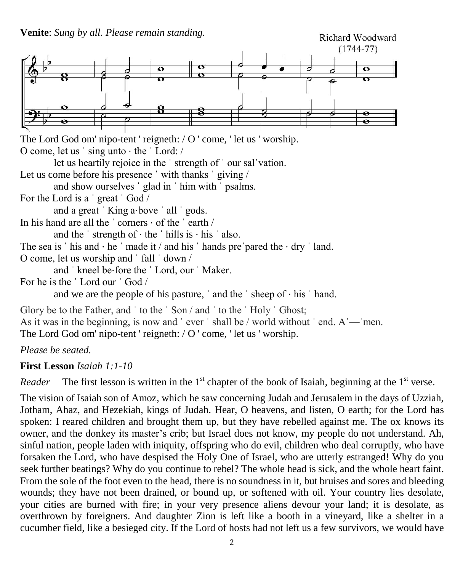

The Lord God om' nipo-tent ' reigneth: / O ' come, ' let us ' worship. O come, let us ˈ sing unto ⋅ the ˈ Lord: /

let us heartily rejoice in the ˈ strength of ˈ our salˈvation.

Let us come before his presence ' with thanks ' giving /

and show ourselves ˈ glad in ˈ him with ˈ psalms.

For the Lord is a ˈ great ˈ God /

and a great 'King a⋅bove ' all ' gods.

In his hand are all the  $\cdot$  corners  $\cdot$  of the  $\cdot$  earth  $\prime$ 

and the ' strength of  $\cdot$  the ' hills is  $\cdot$  his ' also.

The sea is  $'$  his and  $\cdot$  he  $'$  made it  $/$  and his  $'$  hands pre $'$ pared the  $\cdot$  dry  $'$  land.

O come, let us worship and ˈ fall ˈ down /

and ˈ kneel be⋅fore the ˈ Lord, our ˈ Maker.

For he is the ˈ Lord our ˈ God /

and we are the people of his pasture,  $\dot{\ }$  and the  $\dot{\ }$  sheep of  $\dot{\ }$  his  $\dot{\ }$  hand.

Glory be to the Father, and ' to the ' Son / and ' to the ' Holy ' Ghost; As it was in the beginning, is now and 'ever ' shall be / world without ' end. A — men. The Lord God om' nipo-tent ' reigneth: / O ' come, ' let us ' worship.

*Please be seated.*

**First Lesson** *Isaiah 1:1-10*

*Reader* The first lesson is written in the 1<sup>st</sup> chapter of the book of Isaiah, beginning at the 1<sup>st</sup> verse.

The vision of Isaiah son of Amoz, which he saw concerning Judah and Jerusalem in the days of Uzziah, Jotham, Ahaz, and Hezekiah, kings of Judah. Hear, O heavens, and listen, O earth; for the Lord has spoken: I reared children and brought them up, but they have rebelled against me. The ox knows its owner, and the donkey its master's crib; but Israel does not know, my people do not understand. Ah, sinful nation, people laden with iniquity, offspring who do evil, children who deal corruptly, who have forsaken the Lord, who have despised the Holy One of Israel, who are utterly estranged! Why do you seek further beatings? Why do you continue to rebel? The whole head is sick, and the whole heart faint. From the sole of the foot even to the head, there is no soundness in it, but bruises and sores and bleeding wounds; they have not been drained, or bound up, or softened with oil. Your country lies desolate, your cities are burned with fire; in your very presence aliens devour your land; it is desolate, as overthrown by foreigners. And daughter Zion is left like a booth in a vineyard, like a shelter in a cucumber field, like a besieged city. If the Lord of hosts had not left us a few survivors, we would have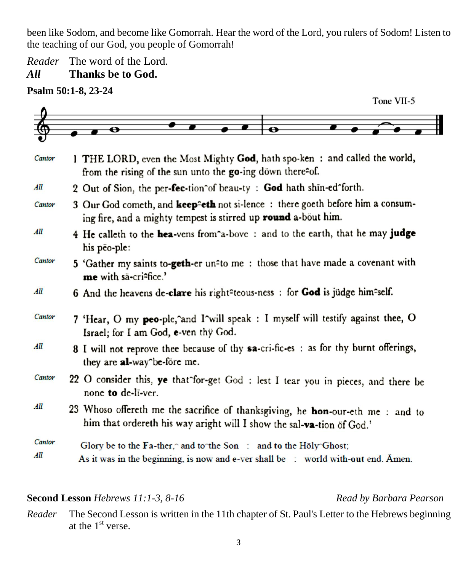been like Sodom, and become like Gomorrah. Hear the word of the Lord, you rulers of Sodom! Listen to the teaching of our God, you people of Gomorrah!

*Reader* The word of the Lord. *All* **Thanks be to God.**

**Psalm 50:1-8, 23-24**



**Second Lesson** *Hebrews 11:1-3, 8-16 Read by Barbara Pearson*

*Reader* The Second Lesson is written in the 11th chapter of St. Paul's Letter to the Hebrews beginning at the  $1<sup>st</sup>$  verse.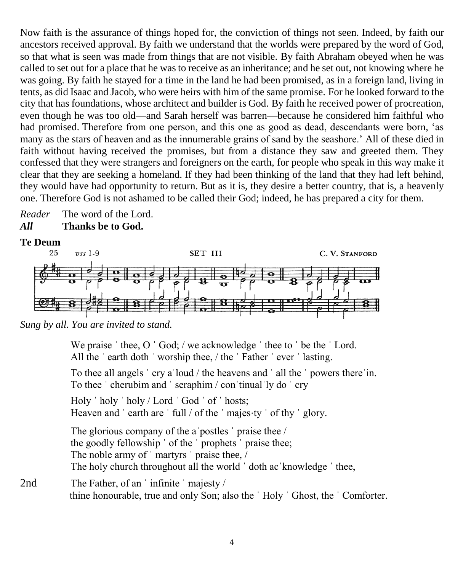Now faith is the assurance of things hoped for, the conviction of things not seen. Indeed, by faith our ancestors received approval. By faith we understand that the worlds were prepared by the word of God, so that what is seen was made from things that are not visible. By faith Abraham obeyed when he was called to set out for a place that he was to receive as an inheritance; and he set out, not knowing where he was going. By faith he stayed for a time in the land he had been promised, as in a foreign land, living in tents, as did Isaac and Jacob, who were heirs with him of the same promise. For he looked forward to the city that has foundations, whose architect and builder is God. By faith he received power of procreation, even though he was too old—and Sarah herself was barren—because he considered him faithful who had promised. Therefore from one person, and this one as good as dead, descendants were born, 'as many as the stars of heaven and as the innumerable grains of sand by the seashore.' All of these died in faith without having received the promises, but from a distance they saw and greeted them. They confessed that they were strangers and foreigners on the earth, for people who speak in this way make it clear that they are seeking a homeland. If they had been thinking of the land that they had left behind, they would have had opportunity to return. But as it is, they desire a better country, that is, a heavenly one. Therefore God is not ashamed to be called their God; indeed, he has prepared a city for them.

*Reader* The word of the Lord. *All* **Thanks be to God.**

#### **Te Deum**



*Sung by all. You are invited to stand.*

We praise 'thee, O 'God; / we acknowledge 'thee to 'be the 'Lord. All the 'earth doth 'worship thee, / the 'Father 'ever 'lasting.

To thee all angels ˈ cry aˈloud / the heavens and ˈ all the ˈ powers thereˈin. To thee ˈ cherubim and ˈ seraphim / conˈtinualˈly do ˈ cry

Holy ˈ holy ˈ holy / Lord ˈ God ˈ of ˈ hosts; Heaven and 'earth are 'full / of the 'majes⋅ty ' of thy ' glory.

The glorious company of the a postles ' praise thee / the goodly fellowship ˈ of the ˈ prophets ˈ praise thee; The noble army of 'martyrs' praise thee, / The holy church throughout all the world 'doth ac knowledge ' thee,

2nd The Father, of an 'infinite 'majesty / thine honourable, true and only Son; also the ˈ Holy ˈ Ghost, the ˈ Comforter.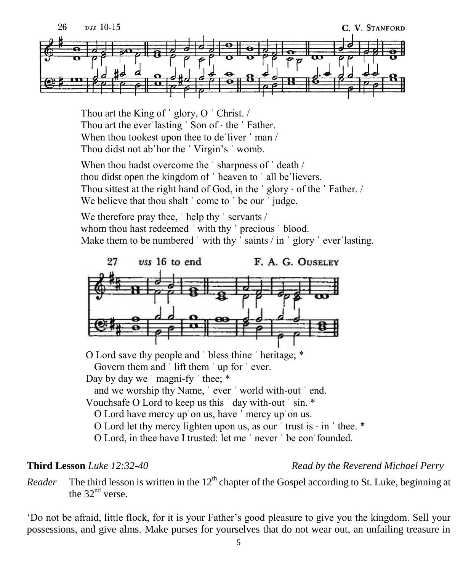

Thou art the King of 'glory, O 'Christ. / Thou art the ever 'lasting ' Son of  $\cdot$  the ' Father. When thou tookest upon thee to de liver  $\cdot$  man / Thou didst not abˈhor the ˈ Virgin's ˈ womb.

When thou hadst overcome the 'sharpness of 'death / thou didst open the kingdom of ˈ heaven to ˈ all beˈlievers. Thou sittest at the right hand of God, in the  $\degree$  glory  $\cdot$  of the  $\degree$  Father. / We believe that thou shalt ' come to ' be our ' judge.

We therefore pray thee, 'help thy ' servants / whom thou hast redeemed 'with thy ' precious ' blood. Make them to be numbered  $\dot{\ }$  with thy  $\dot{\ }$  saints  $\dot{\ }$  in  $\dot{\ }$  glory  $\dot{\ }$  ever lasting.



O Lord save thy people and ˈ bless thine ˈ heritage; \* Govern them and 'lift them ' up for ' ever. Day by day we ' magni-fy ' thee;  $*$ and we worship thy Name, ˈ ever ˈ world with-out ˈ end. Vouchsafe O Lord to keep us this ˈ day with-out ˈ sin. \* O Lord have mercy upˈon us, have ˈ mercy upˈon us. O Lord let thy mercy lighten upon us, as our  $'$  trust is  $\cdot$  in  $'$  thee. \*

O Lord, in thee have I trusted: let me ˈ never ˈ be conˈfounded.

## **Third Lesson** *Luke 12:32-40 Read by the Reverend Michael Perry*

*Reader* The third lesson is written in the 12<sup>th</sup> chapter of the Gospel according to St. Luke, beginning at the  $32<sup>nd</sup>$  verse.

'Do not be afraid, little flock, for it is your Father's good pleasure to give you the kingdom. Sell your possessions, and give alms. Make purses for yourselves that do not wear out, an unfailing treasure in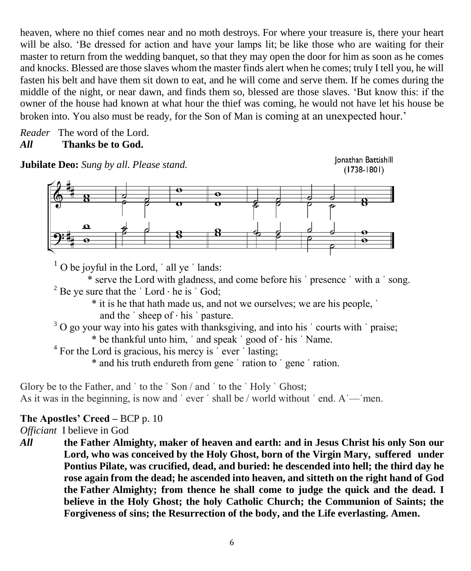heaven, where no thief comes near and no moth destroys. For where your treasure is, there your heart will be also. 'Be dressed for action and have your lamps lit; be like those who are waiting for their master to return from the wedding banquet, so that they may open the door for him as soon as he comes and knocks. Blessed are those slaves whom the master finds alert when he comes; truly I tell you, he will fasten his belt and have them sit down to eat, and he will come and serve them. If he comes during the middle of the night, or near dawn, and finds them so, blessed are those slaves. 'But know this: if the owner of the house had known at what hour the thief was coming, he would not have let his house be broken into. You also must be ready, for the Son of Man is coming at an unexpected hour.'

*Reader* The word of the Lord. *All* **Thanks be to God.**

**Jubilate Deo:** *Sung by all. Please stand.*

Jonathan Battishill  $(1738 - 1801)$ 



 $1$  O be joyful in the Lord,  $\dot{\ }$  all ye  $\dot{\ }$  lands:

\* serve the Lord with gladness, and come before his ˈ presence ˈ with a ˈ song. <sup>2</sup> Be ye sure that the  $\cdot$  Lord  $\cdot$  he is  $\cdot$  God;

\* it is he that hath made us, and not we ourselves; we are his people, ˈ

and the  $\dot{\ }$  sheep of  $\cdot$  his  $\dot{\ }$  pasture.

- $3$  O go your way into his gates with thanksgiving, and into his  $\cdot$  courts with  $\cdot$  praise; \* be thankful unto him, ˈ and speak ˈ good of ⋅ his ˈ Name.
	-
- <sup>4</sup> For the Lord is gracious, his mercy is 'ever ' lasting;
	- \* and his truth endureth from gene ˈ ration to ˈ gene ˈ ration.

Glory be to the Father, and 'to the 'Son / and 'to the 'Holy 'Ghost; As it was in the beginning, is now and 'ever 'shall be / world without 'end. A — men.

## **The Apostles' Creed –** BCP p. 10

*Officiant* I believe in God

*All* **the Father Almighty, maker of heaven and earth: and in Jesus Christ his only Son our Lord, who was conceived by the Holy Ghost, born of the Virgin Mary, suffered under Pontius Pilate, was crucified, dead, and buried: he descended into hell; the third day he rose again from the dead; he ascended into heaven, and sitteth on the right hand of God the Father Almighty; from thence he shall come to judge the quick and the dead. I believe in the Holy Ghost; the holy Catholic Church; the Communion of Saints; the Forgiveness of sins; the Resurrection of the body, and the Life everlasting. Amen.**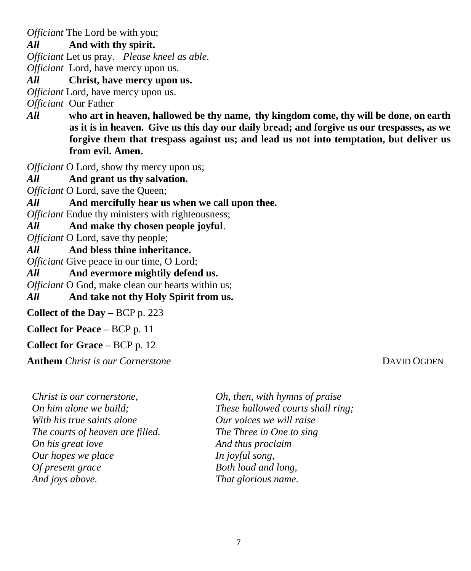*Officiant* The Lord be with you;

*All* **And with thy spirit.**

*Officiant* Let us pray. *Please kneel as able.*

*Officiant* Lord, have mercy upon us.

*All* **Christ, have mercy upon us.**

*Officiant* Lord, have mercy upon us.

*Officiant* Our Father

*All* **who art in heaven, hallowed be thy name, thy kingdom come, thy will be done, on earth as it is in heaven. Give us this day our daily bread; and forgive us our trespasses, as we forgive them that trespass against us; and lead us not into temptation, but deliver us from evil. Amen.**

*Officiant* O Lord, show thy mercy upon us;

*All* **And grant us thy salvation.**

*Officiant* O Lord, save the Queen;

- *All* **And mercifully hear us when we call upon thee.**
- *Officiant* Endue thy ministers with righteousness;

*All* **And make thy chosen people joyful**.

*Officiant* O Lord, save thy people;

- *All* **And bless thine inheritance.**
- *Officiant* Give peace in our time, O Lord;

*All* **And evermore mightily defend us.**

*Officiant* O God, make clean our hearts within us;

*All* **And take not thy Holy Spirit from us.**

**Collect of the Day –** BCP p. 223

**Collect for Peace –** BCP p. 11

**Collect for Grace –** BCP p. 12

**Anthem** *Christ is our Cornerstone* **DAVID OGDEN** 

| Christ is our cornerstone.       |  |
|----------------------------------|--|
| On him alone we build;           |  |
| With his true saints alone       |  |
| The courts of heaven are filled. |  |
| On his great love                |  |
| Our hopes we place               |  |
| Of present grace                 |  |
| And joys above.                  |  |

*Oh, then, with hymns of praise These hallowed courts shall ring; Our voices we will raise The Three in One to sing And thus proclaim In joyful song, Both loud and long, That glorious name.*